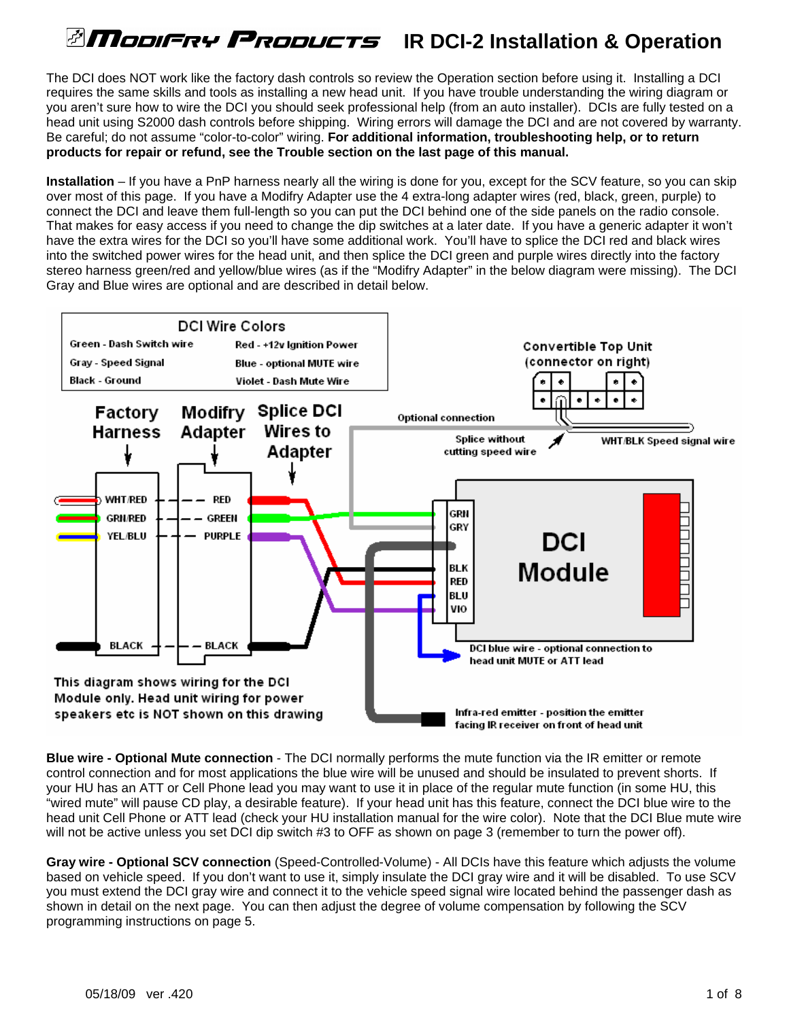# *<b>ITIODIFRY PRODUCTS* IR DCI-2 Installation & Operation

The DCI does NOT work like the factory dash controls so review the Operation section before using it. Installing a DCI requires the same skills and tools as installing a new head unit. If you have trouble understanding the wiring diagram or you aren't sure how to wire the DCI you should seek professional help (from an auto installer). DCIs are fully tested on a head unit using S2000 dash controls before shipping. Wiring errors will damage the DCI and are not covered by warranty. Be careful; do not assume "color-to-color" wiring. **For additional information, troubleshooting help, or to return products for repair or refund, see the Trouble section on the last page of this manual.** 

**Installation** – If you have a PnP harness nearly all the wiring is done for you, except for the SCV feature, so you can skip over most of this page. If you have a Modifry Adapter use the 4 extra-long adapter wires (red, black, green, purple) to connect the DCI and leave them full-length so you can put the DCI behind one of the side panels on the radio console. That makes for easy access if you need to change the dip switches at a later date. If you have a generic adapter it won't have the extra wires for the DCI so you'll have some additional work. You'll have to splice the DCI red and black wires into the switched power wires for the head unit, and then splice the DCI green and purple wires directly into the factory stereo harness green/red and yellow/blue wires (as if the "Modifry Adapter" in the below diagram were missing). The DCI Gray and Blue wires are optional and are described in detail below.



**Blue wire - Optional Mute connection** - The DCI normally performs the mute function via the IR emitter or remote control connection and for most applications the blue wire will be unused and should be insulated to prevent shorts. If your HU has an ATT or Cell Phone lead you may want to use it in place of the regular mute function (in some HU, this "wired mute" will pause CD play, a desirable feature). If your head unit has this feature, connect the DCI blue wire to the head unit Cell Phone or ATT lead (check your HU installation manual for the wire color). Note that the DCI Blue mute wire will not be active unless you set DCI dip switch #3 to OFF as shown on page 3 (remember to turn the power off).

**Gray wire - Optional SCV connection** (Speed-Controlled-Volume) - All DCIs have this feature which adjusts the volume based on vehicle speed. If you don't want to use it, simply insulate the DCI gray wire and it will be disabled. To use SCV you must extend the DCI gray wire and connect it to the vehicle speed signal wire located behind the passenger dash as shown in detail on the next page. You can then adjust the degree of volume compensation by following the SCV programming instructions on page 5.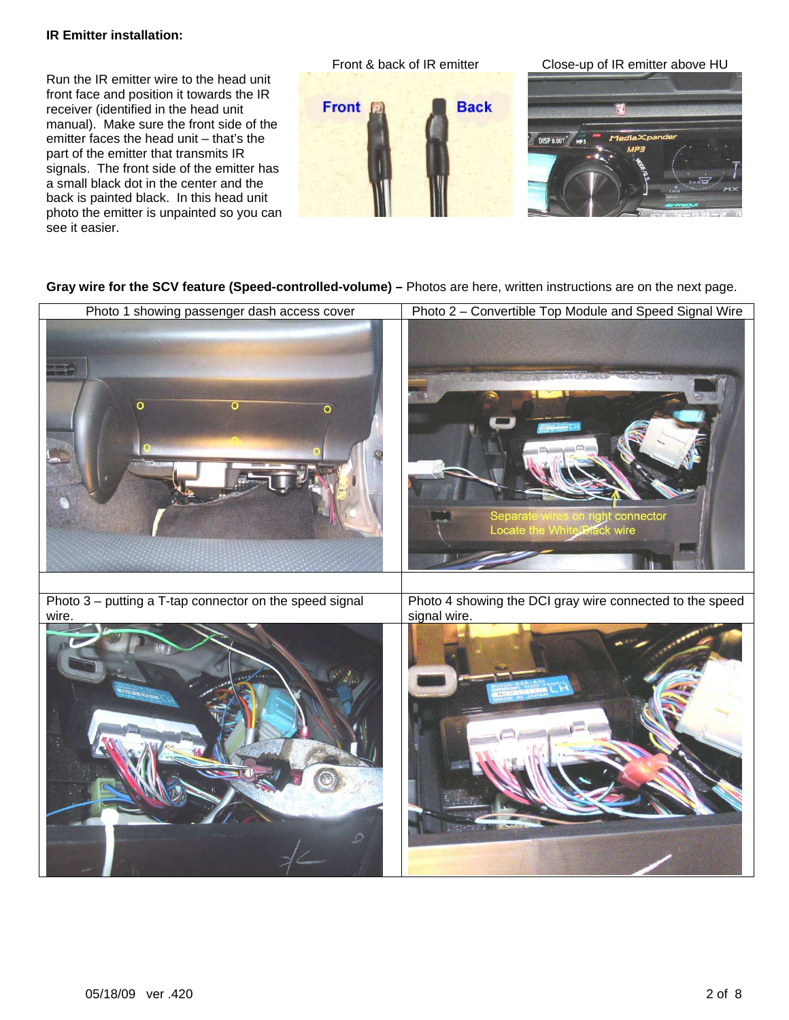#### **IR Emitter installation:**

Run the IR emitter wire to the head unit front face and position it towards the IR receiver (identified in the head unit manual). Make sure the front side of the emitter faces the head unit – that's the part of the emitter that transmits IR signals. The front side of the emitter has a small black dot in the center and the back is painted black. In this head unit photo the emitter is unpainted so you can see it easier.



#### **Gray wire for the SCV feature (Speed-controlled-volume) –** Photos are here, written instructions are on the next page.

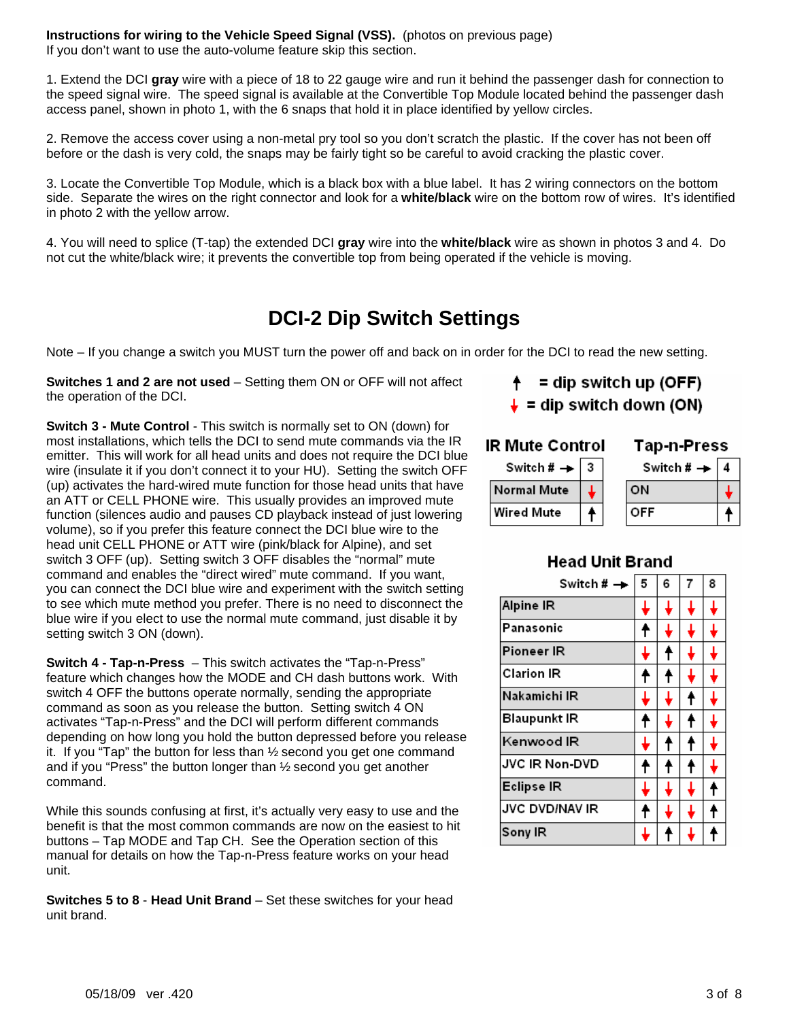**Instructions for wiring to the Vehicle Speed Signal (VSS).** (photos on previous page) If you don't want to use the auto-volume feature skip this section.

1. Extend the DCI **gray** wire with a piece of 18 to 22 gauge wire and run it behind the passenger dash for connection to the speed signal wire. The speed signal is available at the Convertible Top Module located behind the passenger dash access panel, shown in photo 1, with the 6 snaps that hold it in place identified by yellow circles.

2. Remove the access cover using a non-metal pry tool so you don't scratch the plastic. If the cover has not been off before or the dash is very cold, the snaps may be fairly tight so be careful to avoid cracking the plastic cover.

3. Locate the Convertible Top Module, which is a black box with a blue label. It has 2 wiring connectors on the bottom side. Separate the wires on the right connector and look for a **white/black** wire on the bottom row of wires. It's identified in photo 2 with the yellow arrow.

4. You will need to splice (T-tap) the extended DCI **gray** wire into the **white/black** wire as shown in photos 3 and 4. Do not cut the white/black wire; it prevents the convertible top from being operated if the vehicle is moving.

## **DCI-2 Dip Switch Settings**

Note – If you change a switch you MUST turn the power off and back on in order for the DCI to read the new setting.

**Switches 1 and 2 are not used** – Setting them ON or OFF will not affect the operation of the DCI.

**Switch 3 - Mute Control** - This switch is normally set to ON (down) for most installations, which tells the DCI to send mute commands via the IR emitter. This will work for all head units and does not require the DCI blue wire (insulate it if you don't connect it to your HU). Setting the switch OFF (up) activates the hard-wired mute function for those head units that have an ATT or CELL PHONE wire. This usually provides an improved mute function (silences audio and pauses CD playback instead of just lowering volume), so if you prefer this feature connect the DCI blue wire to the head unit CELL PHONE or ATT wire (pink/black for Alpine), and set switch 3 OFF (up). Setting switch 3 OFF disables the "normal" mute command and enables the "direct wired" mute command. If you want, you can connect the DCI blue wire and experiment with the switch setting to see which mute method you prefer. There is no need to disconnect the blue wire if you elect to use the normal mute command, just disable it by setting switch 3 ON (down).

**Switch 4 - Tap-n-Press** – This switch activates the "Tap-n-Press" feature which changes how the MODE and CH dash buttons work. With switch 4 OFF the buttons operate normally, sending the appropriate command as soon as you release the button. Setting switch 4 ON activates "Tap-n-Press" and the DCI will perform different commands depending on how long you hold the button depressed before you release it. If you "Tap" the button for less than ½ second you get one command and if you "Press" the button longer than ½ second you get another command.

While this sounds confusing at first, it's actually very easy to use and the benefit is that the most common commands are now on the easiest to hit buttons – Tap MODE and Tap CH. See the Operation section of this manual for details on how the Tap-n-Press feature works on your head unit.

**Switches 5 to 8** - **Head Unit Brand** – Set these switches for your head unit brand.

## $=$  dip switch up (OFF)

 $\downarrow$  = dip switch down (ON)

#### **IR Mute Control** Tap-n-Press

| Switch # $\rightarrow$ 3 | Switch # $\rightarrow$ |  |
|--------------------------|------------------------|--|
| <b>Normal Mute</b>       | <b>ON</b>              |  |
| <b>Wired Mute</b>        | OFF                    |  |

### **Head Unit Brand**

| Switch # →            | 5 | 6 | 7 | 8 |
|-----------------------|---|---|---|---|
| Alpine IR             |   | ↓ |   |   |
| Panasonic             |   | ↓ | ┹ |   |
| Pioneer IR            |   | ↑ |   |   |
| <b>Clarion IR</b>     |   | ↟ |   |   |
| Nakamichi IR          |   | L | f |   |
| <b>Blaupunkt IR</b>   |   |   | ↟ |   |
| Kenwood IR            |   | t | ↟ |   |
| <b>JVC IR Non-DVD</b> | t | ↟ | Ť |   |
| <b>Eclipse IR</b>     |   |   |   |   |
| <b>JVC DVD/NAV IR</b> |   | ↓ |   |   |
| Sony IR               |   |   |   |   |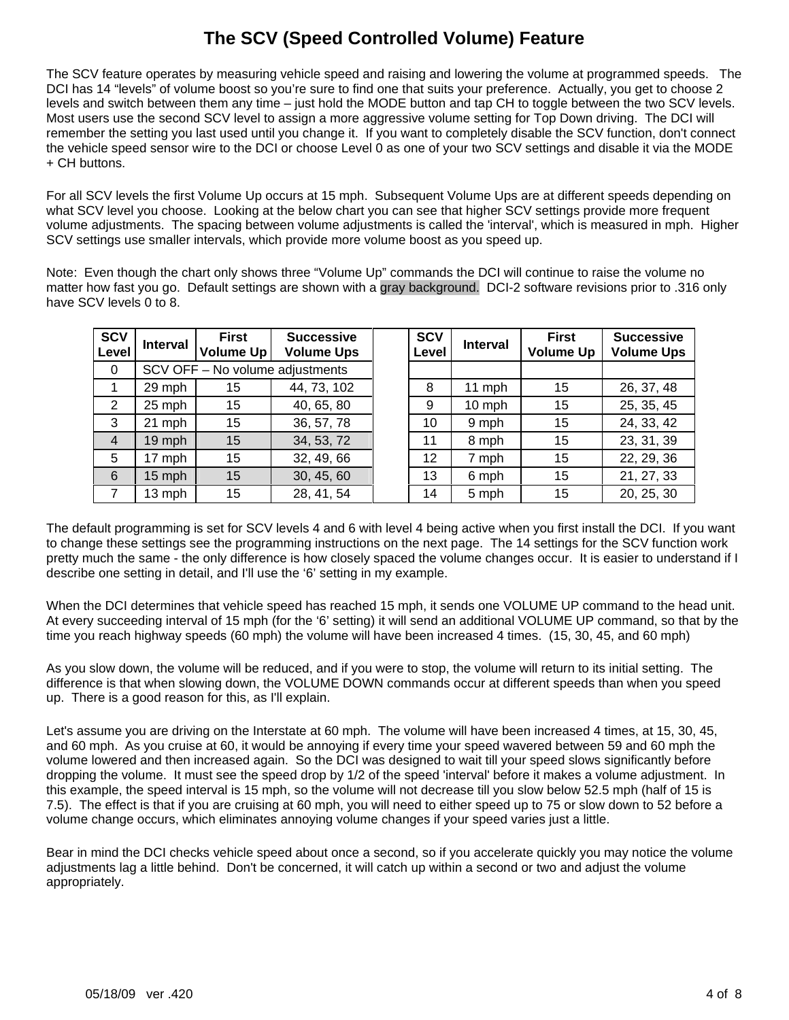### **The SCV (Speed Controlled Volume) Feature**

The SCV feature operates by measuring vehicle speed and raising and lowering the volume at programmed speeds. The DCI has 14 "levels" of volume boost so you're sure to find one that suits your preference. Actually, you get to choose 2 levels and switch between them any time – just hold the MODE button and tap CH to toggle between the two SCV levels. Most users use the second SCV level to assign a more aggressive volume setting for Top Down driving. The DCI will remember the setting you last used until you change it. If you want to completely disable the SCV function, don't connect the vehicle speed sensor wire to the DCI or choose Level 0 as one of your two SCV settings and disable it via the MODE + CH buttons.

For all SCV levels the first Volume Up occurs at 15 mph. Subsequent Volume Ups are at different speeds depending on what SCV level you choose. Looking at the below chart you can see that higher SCV settings provide more frequent volume adjustments. The spacing between volume adjustments is called the 'interval', which is measured in mph. Higher SCV settings use smaller intervals, which provide more volume boost as you speed up.

Note: Even though the chart only shows three "Volume Up" commands the DCI will continue to raise the volume no matter how fast you go. Default settings are shown with a gray background. DCI-2 software revisions prior to .316 only have SCV levels 0 to 8.

| <b>SCV</b><br>Level | <b>Interval</b>                 | <b>First</b><br><b>Volume Up</b> | <b>Successive</b><br><b>Volume Ups</b> | <b>SCV</b><br>Level | <b>Interval</b> | <b>First</b><br><b>Volume Up</b> | <b>Successive</b><br><b>Volume Ups</b> |
|---------------------|---------------------------------|----------------------------------|----------------------------------------|---------------------|-----------------|----------------------------------|----------------------------------------|
| 0                   | SCV OFF - No volume adjustments |                                  |                                        |                     |                 |                                  |                                        |
|                     | 29 mph                          | 15                               | 44, 73, 102                            | 8                   | 11 mph          | 15                               | 26, 37, 48                             |
| 2                   | 25 mph                          | 15                               | 40, 65, 80                             | 9                   | 10 mph          | 15                               | 25, 35, 45                             |
| 3                   | 21 mph                          | 15                               | 36, 57, 78                             | 10                  | 9 mph           | 15                               | 24, 33, 42                             |
| $\overline{4}$      | 19 mph                          | 15                               | 34, 53, 72                             | 11                  | 8 mph           | 15                               | 23, 31, 39                             |
| 5                   | 17 mph                          | 15                               | 32, 49, 66                             | 12 <sup>2</sup>     | 7 mph           | 15                               | 22, 29, 36                             |
| 6                   | 15 mph                          | 15                               | 30, 45, 60                             | 13                  | 6 mph           | 15                               | 21, 27, 33                             |
| $\overline{7}$      | 13 mph                          | 15                               | 28, 41, 54                             | 14                  | 5 mph           | 15                               | 20, 25, 30                             |

The default programming is set for SCV levels 4 and 6 with level 4 being active when you first install the DCI. If you want to change these settings see the programming instructions on the next page. The 14 settings for the SCV function work pretty much the same - the only difference is how closely spaced the volume changes occur. It is easier to understand if I describe one setting in detail, and I'll use the '6' setting in my example.

When the DCI determines that vehicle speed has reached 15 mph, it sends one VOLUME UP command to the head unit. At every succeeding interval of 15 mph (for the '6' setting) it will send an additional VOLUME UP command, so that by the time you reach highway speeds (60 mph) the volume will have been increased 4 times. (15, 30, 45, and 60 mph)

As you slow down, the volume will be reduced, and if you were to stop, the volume will return to its initial setting. The difference is that when slowing down, the VOLUME DOWN commands occur at different speeds than when you speed up. There is a good reason for this, as I'll explain.

Let's assume you are driving on the Interstate at 60 mph. The volume will have been increased 4 times, at 15, 30, 45, and 60 mph. As you cruise at 60, it would be annoying if every time your speed wavered between 59 and 60 mph the volume lowered and then increased again. So the DCI was designed to wait till your speed slows significantly before dropping the volume. It must see the speed drop by 1/2 of the speed 'interval' before it makes a volume adjustment. In this example, the speed interval is 15 mph, so the volume will not decrease till you slow below 52.5 mph (half of 15 is 7.5). The effect is that if you are cruising at 60 mph, you will need to either speed up to 75 or slow down to 52 before a volume change occurs, which eliminates annoying volume changes if your speed varies just a little.

Bear in mind the DCI checks vehicle speed about once a second, so if you accelerate quickly you may notice the volume adjustments lag a little behind. Don't be concerned, it will catch up within a second or two and adjust the volume appropriately.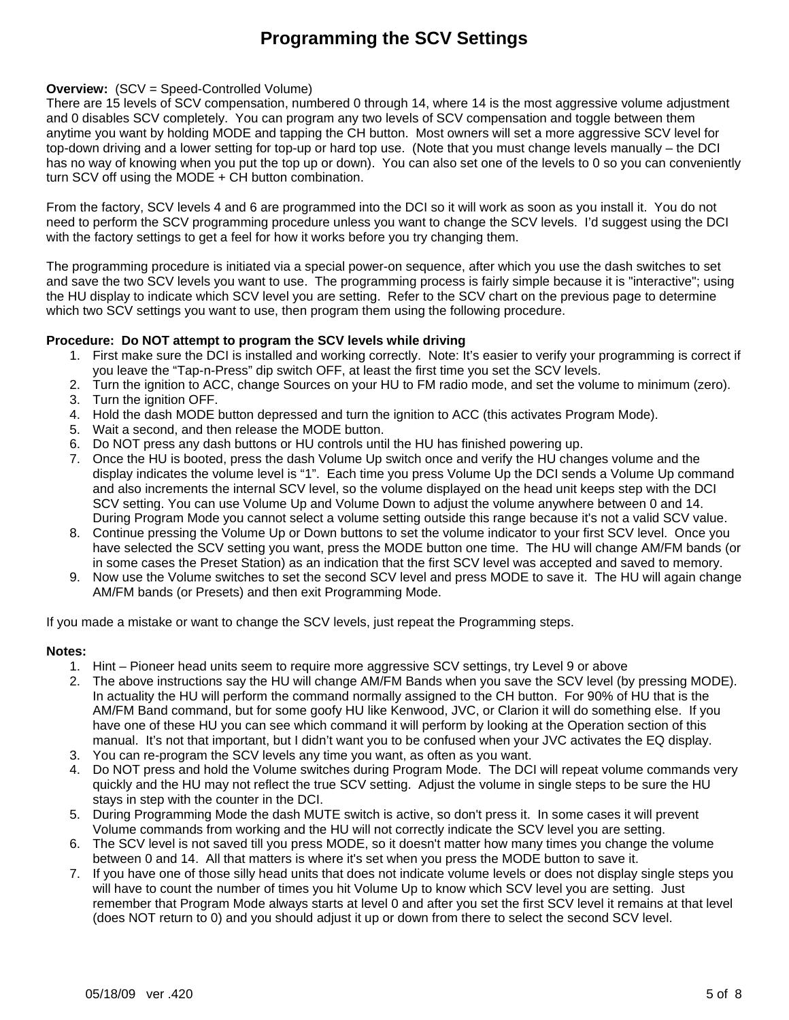### **Programming the SCV Settings**

#### **Overview:**  $(SCV = Speed-Controlled Volume)$

There are 15 levels of SCV compensation, numbered 0 through 14, where 14 is the most aggressive volume adjustment and 0 disables SCV completely. You can program any two levels of SCV compensation and toggle between them anytime you want by holding MODE and tapping the CH button. Most owners will set a more aggressive SCV level for top-down driving and a lower setting for top-up or hard top use. (Note that you must change levels manually – the DCI has no way of knowing when you put the top up or down). You can also set one of the levels to 0 so you can conveniently turn SCV off using the MODE + CH button combination.

From the factory, SCV levels 4 and 6 are programmed into the DCI so it will work as soon as you install it. You do not need to perform the SCV programming procedure unless you want to change the SCV levels. I'd suggest using the DCI with the factory settings to get a feel for how it works before you try changing them.

The programming procedure is initiated via a special power-on sequence, after which you use the dash switches to set and save the two SCV levels you want to use. The programming process is fairly simple because it is "interactive"; using the HU display to indicate which SCV level you are setting. Refer to the SCV chart on the previous page to determine which two SCV settings you want to use, then program them using the following procedure.

#### **Procedure: Do NOT attempt to program the SCV levels while driving**

- 1. First make sure the DCI is installed and working correctly. Note: It's easier to verify your programming is correct if you leave the "Tap-n-Press" dip switch OFF, at least the first time you set the SCV levels.
- 2. Turn the ignition to ACC, change Sources on your HU to FM radio mode, and set the volume to minimum (zero).
- 3. Turn the ignition OFF.
- 4. Hold the dash MODE button depressed and turn the ignition to ACC (this activates Program Mode).
- 5. Wait a second, and then release the MODE button.
- 6. Do NOT press any dash buttons or HU controls until the HU has finished powering up.
- 7. Once the HU is booted, press the dash Volume Up switch once and verify the HU changes volume and the display indicates the volume level is "1". Each time you press Volume Up the DCI sends a Volume Up command and also increments the internal SCV level, so the volume displayed on the head unit keeps step with the DCI SCV setting. You can use Volume Up and Volume Down to adjust the volume anywhere between 0 and 14. During Program Mode you cannot select a volume setting outside this range because it's not a valid SCV value.
- 8. Continue pressing the Volume Up or Down buttons to set the volume indicator to your first SCV level. Once you have selected the SCV setting you want, press the MODE button one time. The HU will change AM/FM bands (or in some cases the Preset Station) as an indication that the first SCV level was accepted and saved to memory.
- 9. Now use the Volume switches to set the second SCV level and press MODE to save it. The HU will again change AM/FM bands (or Presets) and then exit Programming Mode.

If you made a mistake or want to change the SCV levels, just repeat the Programming steps.

#### **Notes:**

- 1. Hint Pioneer head units seem to require more aggressive SCV settings, try Level 9 or above
- 2. The above instructions say the HU will change AM/FM Bands when you save the SCV level (by pressing MODE). In actuality the HU will perform the command normally assigned to the CH button. For 90% of HU that is the AM/FM Band command, but for some goofy HU like Kenwood, JVC, or Clarion it will do something else. If you have one of these HU you can see which command it will perform by looking at the Operation section of this manual. It's not that important, but I didn't want you to be confused when your JVC activates the EQ display.
- 3. You can re-program the SCV levels any time you want, as often as you want.
- 4. Do NOT press and hold the Volume switches during Program Mode. The DCI will repeat volume commands very quickly and the HU may not reflect the true SCV setting. Adjust the volume in single steps to be sure the HU stays in step with the counter in the DCI.
- 5. During Programming Mode the dash MUTE switch is active, so don't press it. In some cases it will prevent Volume commands from working and the HU will not correctly indicate the SCV level you are setting.
- 6. The SCV level is not saved till you press MODE, so it doesn't matter how many times you change the volume between 0 and 14. All that matters is where it's set when you press the MODE button to save it.
- 7. If you have one of those silly head units that does not indicate volume levels or does not display single steps you will have to count the number of times you hit Volume Up to know which SCV level you are setting. Just remember that Program Mode always starts at level 0 and after you set the first SCV level it remains at that level (does NOT return to 0) and you should adjust it up or down from there to select the second SCV level.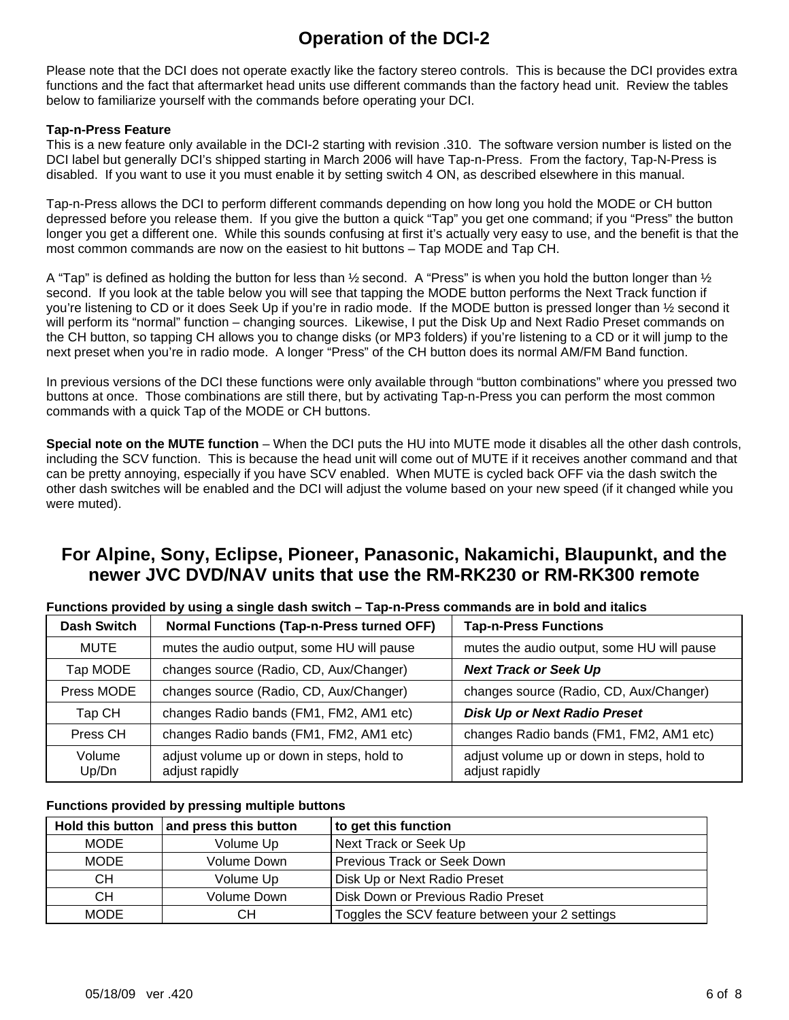### **Operation of the DCI-2**

Please note that the DCI does not operate exactly like the factory stereo controls. This is because the DCI provides extra functions and the fact that aftermarket head units use different commands than the factory head unit. Review the tables below to familiarize yourself with the commands before operating your DCI.

#### **Tap-n-Press Feature**

This is a new feature only available in the DCI-2 starting with revision .310. The software version number is listed on the DCI label but generally DCI's shipped starting in March 2006 will have Tap-n-Press. From the factory, Tap-N-Press is disabled. If you want to use it you must enable it by setting switch 4 ON, as described elsewhere in this manual.

Tap-n-Press allows the DCI to perform different commands depending on how long you hold the MODE or CH button depressed before you release them. If you give the button a quick "Tap" you get one command; if you "Press" the button longer you get a different one. While this sounds confusing at first it's actually very easy to use, and the benefit is that the most common commands are now on the easiest to hit buttons – Tap MODE and Tap CH.

A "Tap" is defined as holding the button for less than  $\frac{1}{2}$  second. A "Press" is when you hold the button longer than  $\frac{1}{2}$ second. If you look at the table below you will see that tapping the MODE button performs the Next Track function if you're listening to CD or it does Seek Up if you're in radio mode. If the MODE button is pressed longer than ½ second it will perform its "normal" function – changing sources. Likewise, I put the Disk Up and Next Radio Preset commands on the CH button, so tapping CH allows you to change disks (or MP3 folders) if you're listening to a CD or it will jump to the next preset when you're in radio mode. A longer "Press" of the CH button does its normal AM/FM Band function.

In previous versions of the DCI these functions were only available through "button combinations" where you pressed two buttons at once. Those combinations are still there, but by activating Tap-n-Press you can perform the most common commands with a quick Tap of the MODE or CH buttons.

**Special note on the MUTE function** – When the DCI puts the HU into MUTE mode it disables all the other dash controls, including the SCV function. This is because the head unit will come out of MUTE if it receives another command and that can be pretty annoying, especially if you have SCV enabled. When MUTE is cycled back OFF via the dash switch the other dash switches will be enabled and the DCI will adjust the volume based on your new speed (if it changed while you were muted).

### **For Alpine, Sony, Eclipse, Pioneer, Panasonic, Nakamichi, Blaupunkt, and the newer JVC DVD/NAV units that use the RM-RK230 or RM-RK300 remote**

| <b>Dash Switch</b> | <b>Normal Functions (Tap-n-Press turned OFF)</b>             | <b>Tap-n-Press Functions</b>                                 |
|--------------------|--------------------------------------------------------------|--------------------------------------------------------------|
| <b>MUTE</b>        | mutes the audio output, some HU will pause                   | mutes the audio output, some HU will pause                   |
| Tap MODE           | changes source (Radio, CD, Aux/Changer)                      | <b>Next Track or Seek Up</b>                                 |
| Press MODE         | changes source (Radio, CD, Aux/Changer)                      | changes source (Radio, CD, Aux/Changer)                      |
| Tap CH             | changes Radio bands (FM1, FM2, AM1 etc)                      | <b>Disk Up or Next Radio Preset</b>                          |
| Press CH           | changes Radio bands (FM1, FM2, AM1 etc)                      | changes Radio bands (FM1, FM2, AM1 etc)                      |
| Volume<br>Up/Dn    | adjust volume up or down in steps, hold to<br>adjust rapidly | adjust volume up or down in steps, hold to<br>adjust rapidly |

**Functions provided by using a single dash switch – Tap-n-Press commands are in bold and italics** 

### **Functions provided by pressing multiple buttons**

| <b>Hold this button</b> | and press this button              | to get this function                            |  |
|-------------------------|------------------------------------|-------------------------------------------------|--|
| <b>MODE</b>             | Next Track or Seek Up<br>Volume Up |                                                 |  |
| <b>MODE</b>             | Volume Down                        | Previous Track or Seek Down                     |  |
| CН                      | Volume Up                          | Disk Up or Next Radio Preset                    |  |
| <b>CH</b>               | Volume Down                        | Disk Down or Previous Radio Preset              |  |
| <b>MODE</b>             | CН                                 | Toggles the SCV feature between your 2 settings |  |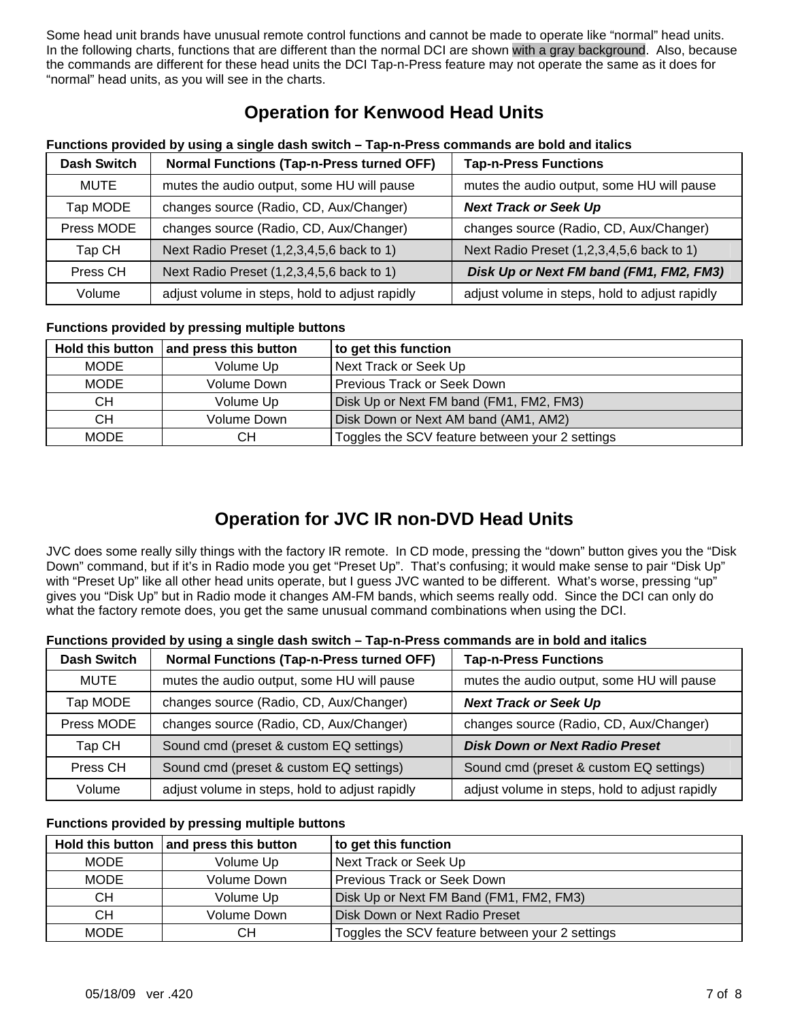Some head unit brands have unusual remote control functions and cannot be made to operate like "normal" head units. In the following charts, functions that are different than the normal DCI are shown with a gray background. Also, because the commands are different for these head units the DCI Tap-n-Press feature may not operate the same as it does for "normal" head units, as you will see in the charts.

### **Operation for Kenwood Head Units**

| <b>Dash Switch</b> | <b>Normal Functions (Tap-n-Press turned OFF)</b> | <b>Tap-n-Press Functions</b>                   |
|--------------------|--------------------------------------------------|------------------------------------------------|
| MUTE               | mutes the audio output, some HU will pause       | mutes the audio output, some HU will pause     |
| Tap MODE           | changes source (Radio, CD, Aux/Changer)          | <b>Next Track or Seek Up</b>                   |
| Press MODE         | changes source (Radio, CD, Aux/Changer)          | changes source (Radio, CD, Aux/Changer)        |
| Tap CH             | Next Radio Preset (1,2,3,4,5,6 back to 1)        | Next Radio Preset (1,2,3,4,5,6 back to 1)      |
| Press CH           | Next Radio Preset (1,2,3,4,5,6 back to 1)        | Disk Up or Next FM band (FM1, FM2, FM3)        |
| Volume             | adjust volume in steps, hold to adjust rapidly   | adjust volume in steps, hold to adjust rapidly |

### **Functions provided by using a single dash switch – Tap-n-Press commands are bold and italics**

### **Functions provided by pressing multiple buttons**

|             | Hold this button and press this button | to get this function                            |
|-------------|----------------------------------------|-------------------------------------------------|
| <b>MODE</b> | Volume Up                              | Next Track or Seek Up                           |
| <b>MODE</b> | Volume Down                            | <b>Previous Track or Seek Down</b>              |
| CН          | Volume Up                              | Disk Up or Next FM band (FM1, FM2, FM3)         |
| <b>CH</b>   | Volume Down                            | Disk Down or Next AM band (AM1, AM2)            |
| <b>MODE</b> | CН                                     | Toggles the SCV feature between your 2 settings |

### **Operation for JVC IR non-DVD Head Units**

JVC does some really silly things with the factory IR remote. In CD mode, pressing the "down" button gives you the "Disk Down" command, but if it's in Radio mode you get "Preset Up". That's confusing; it would make sense to pair "Disk Up" with "Preset Up" like all other head units operate, but I guess JVC wanted to be different. What's worse, pressing "up" gives you "Disk Up" but in Radio mode it changes AM-FM bands, which seems really odd. Since the DCI can only do what the factory remote does, you get the same unusual command combinations when using the DCI.

#### **Functions provided by using a single dash switch – Tap-n-Press commands are in bold and italics**

| <b>Dash Switch</b> | <b>Normal Functions (Tap-n-Press turned OFF)</b> | <b>Tap-n-Press Functions</b>                   |
|--------------------|--------------------------------------------------|------------------------------------------------|
| MUTE               | mutes the audio output, some HU will pause       | mutes the audio output, some HU will pause     |
| Tap MODE           | changes source (Radio, CD, Aux/Changer)          | <b>Next Track or Seek Up</b>                   |
| Press MODE         | changes source (Radio, CD, Aux/Changer)          | changes source (Radio, CD, Aux/Changer)        |
| Tap CH             | Sound cmd (preset & custom EQ settings)          | <b>Disk Down or Next Radio Preset</b>          |
| Press CH           | Sound cmd (preset & custom EQ settings)          | Sound cmd (preset & custom EQ settings)        |
| Volume             | adjust volume in steps, hold to adjust rapidly   | adjust volume in steps, hold to adjust rapidly |

### **Functions provided by pressing multiple buttons**

|             | Hold this button $ $ and press this button | to get this function                            |  |
|-------------|--------------------------------------------|-------------------------------------------------|--|
| <b>MODE</b> | Volume Up                                  | Next Track or Seek Up                           |  |
| <b>MODE</b> | Volume Down                                | Previous Track or Seek Down                     |  |
| СH          | Volume Up                                  | Disk Up or Next FM Band (FM1, FM2, FM3)         |  |
| СH          | Volume Down                                | Disk Down or Next Radio Preset                  |  |
| <b>MODE</b> | CН                                         | Toggles the SCV feature between your 2 settings |  |